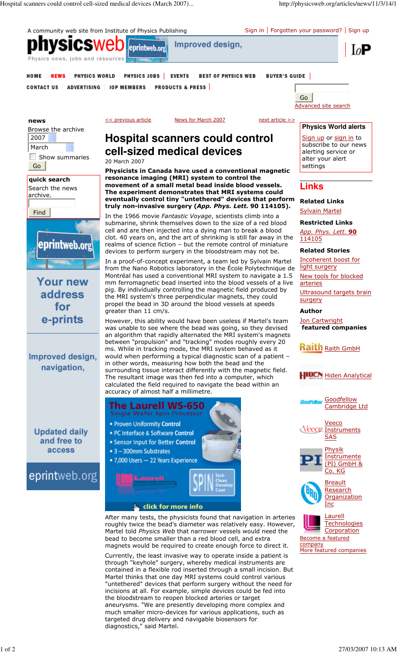

aneurysms. "We are presently developing more complex and much smaller micro-devices for various applications, such as

targeted drug delivery and navigable biosensors for

diagnostics," said Martel.

1 of 2 27/03/2007 10:13 AM